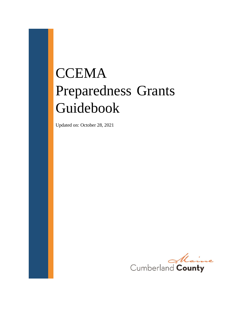# **CCEMA** Preparedness Grants Guidebook

Updated on: October 28, 2021

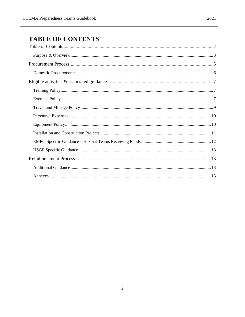# <span id="page-1-0"></span>**TABLE OF CONTENTS**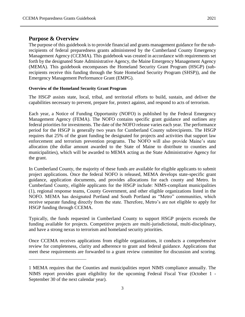$\overline{a}$ 

<span id="page-2-0"></span>The purpose of this guidebook is to provide financial and grants management guidance for the subrecipients of federal preparedness grants administered by the Cumberland County Emergency Management Agency (CCEMA). This guidebook was created in accordance with requirements set forth by the designated State Administrative Agency, the Maine Emergency Management Agency (MEMA). This guidebook encompasses the Homeland Security Grant Program (HSGP) (subrecipients receive this funding through the State Homeland Security Program (SHSP)), and the Emergency Management Performance Grant (EMPG).

#### **Overview of the Homeland Security Grant Program**

The HSGP assists state, local, tribal, and territorial efforts to build, sustain, and deliver the capabilities necessary to prevent, prepare for, protect against, and respond to acts of terrorism.

Each year, a Notice of Funding Opportunity (NOFO) is published by the Federal Emergency Management Agency (FEMA). The NOFO contains specific grant guidance and outlines any federal priorities for investments. The date of the NOFO release varies each year. The performance period for the HSGP is generally two years for Cumberland County subrecipients. The HSGP requires that 25% of the grant funding be designated for projects and activities that support law enforcement and terrorism prevention programs. The NOFO will also provide Maine's state allocation (the dollar amount awarded to the State of Maine to distribute to counties and municipalities), which will be awarded to MEMA acting as the State Administrative Agency for the grant.

In Cumberland County, the majority of these funds are available for eligible applicants to submit project applications. Once the federal NOFO is released, MEMA develops state-specific grant guidance, application documents, and provides allocations for each county and Metro. In Cumberland County, eligible applicants for the HSGP include: NIMS-compliant municipalities (1), regional response teams, County Government, and other eligible organizations listed in the NOFO. MEMA has designated Portland and South Portland as "Metro" communities, which receive separate funding directly from the state. Therefore, Metro's are not eligible to apply for HSGP funding through CCEMA.

Typically, the funds requested in Cumberland County to support HSGP projects exceeds the funding available for projects. Competitive projects are multi-jurisdictional, multi-disciplinary, and have a strong nexus to terrorism and homeland security priorities.

Once CCEMA receives applications from eligible organizations, it conducts a comprehensive review for completeness, clarity and adherence to grant and federal guidance. Applications that meet these requirements are forwarded to a grant review committee for discussion and scoring.

<sup>1</sup> MEMA requires that the Counties and municipalities report NIMS compliance annually. The NIMS report provides grant eligibility for the upcoming Federal Fiscal Year (October 1 - September 30 of the next calendar year).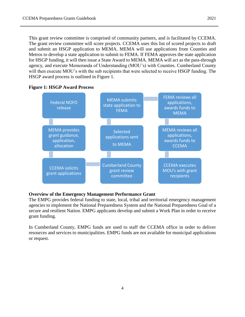This grant review committee is comprised of community partners, and is facilitated by CCEMA. The grant review committee will score projects. CCEMA uses this list of scored projects to draft and submit an HSGP application to MEMA. MEMA will use applications from Counties and Metros to develop a state application to submit to FEMA. If FEMA approves the state application for HSGP funding, it will then issue a State Award to MEMA. MEMA will act as the pass-through agency, and execute Memoranda of Understanding (MOU's) with Counties. Cumberland County will then execute MOU's with the sub recipients that were selected to receive HSGP funding. The HSGP award process is outlined in Figure 1.





#### **Overview of the Emergency Management Performance Grant**

The EMPG provides federal funding to state, local, tribal and territorial emergency management agencies to implement the National Preparedness System and the National Preparedness Goal of a secure and resilient Nation. EMPG applicants develop and submit a Work Plan in order to receive grant funding.

In Cumberland County, EMPG funds are used to staff the CCEMA office in order to deliver resources and services to municipalities. EMPG funds are not available for municipal applications or request.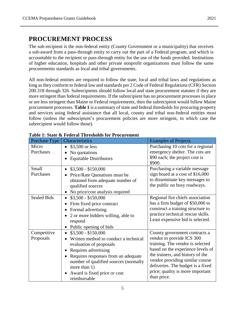# <span id="page-4-0"></span>**PROCUREMENT PROCESS**

The sub-recipient is the non-federal entity (County Government or a municipality) that receives a sub-award from a pass-through entity to carry out the part of a Federal program, and which is accountable to the recipient or pass-through entity for the use of the funds provided. Institutions of higher education, hospitals and other private nonprofit organizations must follow the same procurements standards as local and tribal governments.

All non-federal entities are required to follow the state, local and tribal laws and regulations as long as they conform to federal law and standards per 2 Code of Federal Regulations (CFR) Section 200.318 through 326. Subrecipients should follow local and state procurement statutes if they are more stringent than federal requirements. If the subrecipient has no procurement processes in place or are less stringent than Maine or Federal requirements, then the subrecipient would follow Maine procurement processes. **Table 1** is a summary of state and federal thresholds for procuring property and services using federal assistance that all local, county and tribal non-federal entities must follow (unless the subrecipient's procurement policies are more stringent, in which case the subrecipient would follow those).

| radio r. Stato & Feuerar Thresholus for Frocurement |                                       |                                   |  |  |  |  |
|-----------------------------------------------------|---------------------------------------|-----------------------------------|--|--|--|--|
| Purchase Type                                       | Characteristics                       | <b>Examples of Projects</b>       |  |  |  |  |
| Micro                                               | \$3,500 or less<br>$\bullet$          | Purchasing 10 cots for a regional |  |  |  |  |
| Purchases                                           | No quotations                         | emergency shelter. The cots are   |  |  |  |  |
|                                                     | <b>Equitable Distributors</b>         | \$90 each; the project cost is    |  |  |  |  |
|                                                     |                                       | \$900.                            |  |  |  |  |
| Small                                               | $$3,500 - $150,000$                   | Purchasing a variable message     |  |  |  |  |
| Purchases                                           | Price/Rate Quotations must be         | sign board at a cost of \$16,000  |  |  |  |  |
|                                                     | obtained from adequate number of      | to disseminate key messages to    |  |  |  |  |
|                                                     | qualified sources                     | the public on busy roadways.      |  |  |  |  |
|                                                     | No price/cost analysis required       |                                   |  |  |  |  |
| <b>Sealed Bids</b>                                  | $$3,500 - $150,000$                   | Regional fire chiefs association  |  |  |  |  |
|                                                     | Firm fixed price contract             | has a firm budget of \$50,000 to  |  |  |  |  |
|                                                     | Formal advertising                    | construct a training structure to |  |  |  |  |
|                                                     | 2 or more bidders willing, able to    | practice technical rescue skills. |  |  |  |  |
|                                                     | respond                               | Least expensive bid is selected.  |  |  |  |  |
|                                                     | Public opening of bids                |                                   |  |  |  |  |
| Competitive                                         | \$3,500 - \$150,000                   | County government contracts a     |  |  |  |  |
| Proposals                                           | Written method to conduct a technical | vendor to provide ICS 300         |  |  |  |  |
|                                                     | evaluation of proposals               | training. The vendor is selected  |  |  |  |  |
|                                                     | Requires advertising                  | based on the experience levels of |  |  |  |  |
|                                                     | Requires responses from an adequate   | the trainers, and history of the  |  |  |  |  |
|                                                     | number of qualified sources (normally | vendor providing similar course   |  |  |  |  |
|                                                     | more than 1)                          | deliveries. The budget is a fixed |  |  |  |  |
|                                                     | Award is fixed price or cost          | price; quality is more important  |  |  |  |  |
|                                                     | reimbursable                          | than price.                       |  |  |  |  |

**Table 1: State & Federal Thresholds for Procurement**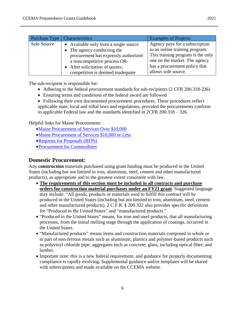| <b>Purchase Type</b> | <b>Characteristics</b>                | <b>Examples of Projects</b>       |
|----------------------|---------------------------------------|-----------------------------------|
| Sole Source          | • Available only from a single source | Agency pays for a subscription    |
|                      | • The agency conducting the           | to an online training program.    |
|                      | procurement has expressly authorized  | This training program is the only |
|                      | a noncompetitive process OR-          | one on the market. The agency     |
|                      | • After solicitation of quotes,       | has a procurement policy that     |
|                      | competition is deemed inadequate      | allows sole source.               |

The sub-recipient is responsible for:

- Adhering to the federal procurement standards for sub-recipients (2 CFR 200.318-236)
- Ensuring terms and conditions of the federal award are followed
- Following their own documented procurement procedures. These procedures reflect applicable state, local and tribal laws and regulations, provided the procurements conform to applicable Federal law and the standards identified in 2CFR 200.318 – 326.

Helpful links for Maine Procurement:

- [Maine Procurement of Services Over \\$10,000](https://www.maine.gov/dafs/bbm/procurementservices/sites/maine.gov.dafs.bbm.procurementservices/files/inline-files/Procurement%20for%20Services%20Over%20%2410%2C000%20%283.12.20%29.pdf)
- [Maine Procurement of Services \\$10,000 or Less](https://www.maine.gov/dafs/bbm/procurementservices/sites/maine.gov.dafs.bbm.procurementservices/files/inline-files/Procurement%20for%20Services%20%2410%2C000%20or%20Less%20%283.12.20%29.pdf)
- [Requests for Proposals \(RFPs\)](https://www.maine.gov/dafs/bbm/procurementservices/sites/maine.gov.dafs.bbm.procurementservices/files/inline-files/RFP%20Guidelines.FINAL_.pdf)
- [Procurement for Commodities](https://www.maine.gov/dafs/bbm/procurementservices/sites/maine.gov.dafs.bbm.procurementservices/files/inline-files/Procurement%20for%20Commodities.FINAL2_.pdf)

# <span id="page-5-0"></span>**Domestic Procurement:**

Any **construction** materials purchased using grant funding must be produced in the United States (including but not limited to iron, aluminum, steel, cement and other manufactured products), as appropriate and to the greatest extent consistent with law.

- **The requirements of this section must be included in all contracts and purchase orders for construction material purchases under an FY21 grant**. Suggested language may include: "All goods, products or materials used to fulfill this contract will be produced in the United States (including but not limited to iron, aluminum, steel, cement and other manufactured products). 2 C.F.R. § 200.322 also provides specific definitions for "Produced in the United States" and "manufactured products."
- "Produced in the United States" means, for iron and steel products, that all manufacturing processes, from the initial melting stage through the application of coatings, occurred in the United States.
- "Manufactured products" means items and construction materials composed in whole or in part of non-ferrous metals such as aluminum; plastics and polymer-based products such as polyvinyl chloride pipe; aggregates such as concrete; glass, including optical fiber; and lumber.
- Important note: this is a new federal requirement, and guidance for properly documenting compliance is rapidly evolving. Supplemental guidance and/or templates will be shared with subrecipients and made available on the CCEMA website.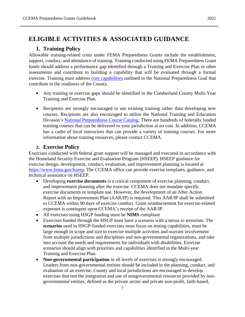# <span id="page-6-1"></span><span id="page-6-0"></span>**ELIGIBLE ACTIVITIES & ASSOCIATED GUIDANCE**

# **1. Training Policy**

Allowable training-related costs under FEMA Preparedness Grants include the establishment, support, conduct, and attendance of training. Training conducted using FEMA Preparedness Grant funds should address a performance gap identified through a Training and Exercise Plan or other assessments and contribute to building a capability that will be evaluated through a formal exercise. Training must address [core capabilities](https://www.fema.gov/pdf/prepared/npg.pdf) outlined in the National Preparedness Goal that contribute to the readiness of the County.

- Any training or exercise gaps should be identified in the Cumberland County Multi-Year Training and Exercise Plan.
- Recipients are strongly encouraged to use existing training rather than developing new courses. Recipients are also encouraged to utilize the National Training and Education Division's [National Preparedness Course Catalog.](https://www.firstrespondertraining.gov/frts/) There are hundreds of federally funded training courses that can be delivered in your jurisdiction at no cost. In addition, CCEMA has a cadre of local instructors that can provide a variety of training courses. For more information about training resources, please contact CCEMA.

## **2. Exercise Policy**

<span id="page-6-2"></span>Exercises conducted with federal grant support will be managed and executed in accordance with the Homeland Security Exercise and Evaluation Program (HSEEP). HSEEP guidance for exercise design, development, conduct, evaluation, and improvement planning is located at [https://www.fema.gov/hseep.](https://www.fema.gov/hseep) The CCEMA office can provide exercise templates, guidance, and technical assistance on HSEEP.

- Developing **exercise documents** is a critical component of exercise planning, conduct, and improvement planning after the exercise. CCEMA does not mandate specific exercise documents or template use. However, the development of an After Action Report with an Improvement Plan (AAR/IP) is required. This AAR/IP shall be submitted to CCEMA within 90 days of exercise conduct. Grant reimbursement for exercise-related expenses is contingent upon CCEMA's receipt of the AAR/IP.
- All exercises using HSGP funding must be **NIMS** compliant.
- Exercises funded through the HSGP must have a scenario with a nexus to terrorism. The **scenarios** used in HSGP-funded exercises must focus on testing capabilities, must be large enough in scope and size to exercise multiple activities and warrant involvement from multiple jurisdictions and disciplines and non-governmental organizations, and take into account the needs and requirements for individuals with disabilities. Exercise scenarios should align with priorities and capabilities identified in the Multi-year Training and Exercise Plan.
- **Non-governmental participation** in all levels of exercises is strongly encouraged. Leaders from non-governmental entities should be included in the planning, conduct, and evaluation of an exercise. County and local jurisdictions are encouraged to develop exercises that test the integration and use of nongovernmental resources provided by nongovernmental entities, defined as the private sector and private non-profit, faith-based,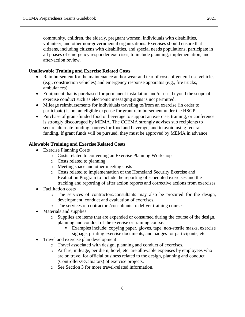community, children, the elderly, pregnant women, individuals with disabilities, volunteer, and other non-governmental organizations. Exercises should ensure that citizens, including citizens with disabilities, and special needs populations, participate in all phases of emergency responder exercises, to include planning, implementation, and after-action review.

#### **Unallowable Training and Exercise Related Costs**

- Reimbursement for the maintenance and/or wear and tear of costs of general use vehicles (e.g., construction vehicles) and emergency response apparatus (e.g., fire trucks, ambulances).
- Equipment that is purchased for permanent installation and/or use, beyond the scope of exercise conduct such as electronic messaging signs is not permitted.
- Mileage reimbursements for individuals traveling to/from an exercise (in order to participate) is not an eligible expense for grant reimbursement under the HSGP.
- Purchase of grant-funded food or beverage to support an exercise, training, or conference is strongly discouraged by MEMA. The CCEMA strongly advises sub recipients to secure alternate funding sources for food and beverage, and to avoid using federal funding. If grant funds will be pursued, they must be approved by MEMA in advance.

#### **Allowable Training and Exercise Related Costs**

- Exercise Planning Costs
	- o Costs related to convening an Exercise Planning Workshop
	- o Costs related to planning
	- o Meeting space and other meeting costs
	- o Costs related to implementation of the Homeland Security Exercise and Evaluation Program to include the reporting of scheduled exercises and the tracking and reporting of after action reports and corrective actions from exercises
- Facilitation costs
	- o The services of contractors/consultants may also be procured for the design, development, conduct and evaluation of exercises.
	- o The services of contractors/consultants to deliver training courses.
- Materials and supplies
	- o Supplies are items that are expended or consumed during the course of the design, planning and conduct of the exercise or training course.
		- Examples include: copying paper, gloves, tape, non-sterile masks, exercise signage, printing exercise documents, and badges for participants, etc.
- Travel and exercise plan development
	- o Travel associated with design, planning and conduct of exercises.
	- o Airfare, mileage, per diem, hotel, etc. are allowable expenses by employees who are on travel for official business related to the design, planning and conduct (Controllers/Evaluators) of exercise projects.
	- o See Section 3 for more travel-related information.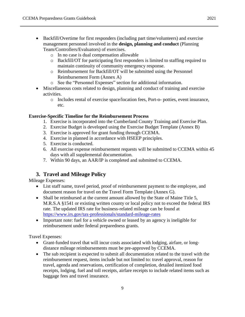- Backfill/Overtime for first responders (including part time/volunteers) and exercise management personnel involved in the **design, planning and conduct** (Planning Team/Controllers/Evaluators) of exercises.
	- o In no case is dual compensation allowable
	- o Backfill/OT for participating first responders is limited to staffing required to maintain continuity of community emergency response.
	- o Reimbursement for Backfill/OT will be submitted using the Personnel Reimbursement Form (Annex A)
	- o See the "Personnel Expenses" section for additional information.
- Miscellaneous costs related to design, planning and conduct of training and exercise activities.
	- o Includes rental of exercise space/location fees, Port-o- potties, event insurance, etc.

#### **Exercise-Specific Timeline for the Reimbursement Process**

- 1. Exercise is incorporated into the Cumberland County Training and Exercise Plan.
- 2. Exercise Budget is developed using the Exercise Budget Template (Annex B)
- 3. Exercise is approved for grant funding through CCEMA.
- 4. Exercise in planned in accordance with HSEEP principles.
- 5. Exercise is conducted.
- 6. All exercise expense reimbursement requests will be submitted to CCEMA within 45 days with all supplemental documentation.
- 7. Within 90 days, an AAR/IP is completed and submitted to CCEMA.

# <span id="page-8-0"></span>**3. Travel and Mileage Policy**

Mileage Expenses:

- List staff name, travel period, proof of reimbursement payment to the employee, and document reason for travel on the Travel Form Template (Annex G).
- Shall be reimbursed at the current amount allowed by the State of Maine Title 5, M.R.S.A §1541 or existing written county or local policy not to exceed the federal IRS rate. The updated IRS rate for business-related mileage can be found at <https://www.irs.gov/tax-professionals/standard-mileage-rates>
- Important note: fuel for a vehicle owned or leased by an agency is ineligible for reimbursement under federal preparedness grants.

Travel Expenses:

- Grant-funded travel that will incur costs associated with lodging, airfare, or longdistance mileage reimbursements must be pre-approved by CCEMA.
- The sub recipient is expected to submit all documentation related to the travel with the reimbursement request, items include but not limited to: travel approval, reason for travel, agenda and reservations, certification of completion, detailed itemized food receipts, lodging, fuel and toll receipts, airfare receipts to include related items such as baggage fees and travel insurance.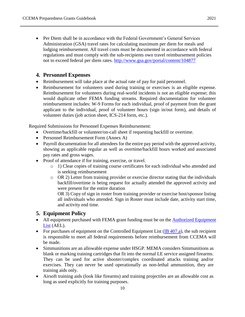• Per Diem shall be in accordance with the Federal Government's General Services Administration (GSA) travel rates for calculating maximum per diem for meals and lodging reimbursement. All travel costs must be documented in accordance with federal regulations and must comply with the sub-recipients own travel reimbursement policies not to exceed federal per diem rates.<http://www.gsa.gov/portal/content/104877>

# <span id="page-9-0"></span>**4. Personnel Expenses**

- Reimbursement will take place at the actual rate of pay for paid personnel.
- Reimbursement for volunteers used during training or exercises is an eligible expense. Reimbursement for volunteers during real-world incidents is not an eligible expense; this would duplicate other FEMA funding streams. Required documentation for volunteer reimbursement includes: W-9 Forms for each individual, proof of payment from the grant applicant to the individual, proof of volunteer hours (sign in/out form), and details of volunteer duties (job action sheet, ICS-214 form, etc.).

Required Submissions for Personnel Expenses Reimbursement:

- Overtime/backfill or volunteer/on-call sheet if requesting backfill or overtime.
- Personnel Reimbursement Form (Annex A)
- Payroll documentation for all attendees for the entire pay period with the approved activity, showing as applicable regular as well as overtime/backfill hours worked and associated pay rates and gross wages.
- Proof of attendance if for training, exercise, or travel.
	- o 1) Clear copies of training course certificates for each individual who attended and is seeking reimbursement
	- $\circ$  OR 2) Letter from training provider or exercise director stating that the individuals backfill/overtime is being request for actually attended the approved activity and were present for the entire duration

OR 3) Copy of sign in roster from training provider or exercise host/sponsor listing all individuals who attended. Sign in Roster must include date, activity start time, and activity end time.

# <span id="page-9-1"></span>**5. Equipment Policy**

- All equipment purchased with FEMA grant funding must be on the **Authorized Equipment** [List](https://www.fema.gov/authorized-equipment-list) (AEL).
- For purchases of equipment on the Controlled Equipment List  $(IB 407.a)$ , the sub recipient is responsible to meet all federal requirements before reimbursement from CCEMA will be made.
- Simmunitions are an allowable expense under HSGP. MEMA considers Simmunitions as blank or marking training cartridges that fit into the normal LE service assigned firearms. They can be used for active shooter/complex coordinated attacks training and/or exercises. They can never be used operationally as non-lethal ammunition, they are training aids only.
- Airsoft training aids (look like firearms) and training projectiles are an allowable cost as long as used explicitly for training purposes.

10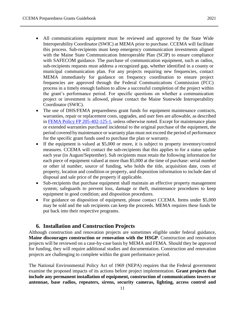- All communications equipment must be reviewed and approved by the State Wide Interoperability Coordinator (SWIC) at MEMA prior to purchase. CCEMA will facilitate this process. Sub-recipients must keep emergency communication investments aligned with the Maine State Communication Interoperable Plan (SCIP) to ensure compliance with SAFECOM guidance. The purchase of communication equipment, such as radios, sub-recipients requests must address a recognized gap, whether identified in a county or municipal communication plan. For any projects requiring new frequencies, contact MEMA immediately for guidance on frequency coordination to ensure project frequencies are approved through the Federal Communications Commission (FCC) process in a timely enough fashion to allow a successful completion of the project within the grant's performance period. For specific questions on whether a communication project or investment is allowed, please contact the Maine Statewide Interoperability Coordinator (SWIC).
- The use of DHS/FEMA preparedness grant funds for equipment maintenance contracts, warranties, repair or replacement costs, upgrades, and user fees are allowable, as described in [FEMA Policy FP 205-402-125-1,](https://www.fema.gov/media-library/assets/documents/32474) unless otherwise noted. Except for maintenance plans or extended warranties purchased incidental to the original purchase of the equipment, the period covered by maintenance or warranty plan must not exceed the period of performance for the specific grant funds used to purchase the plan or warranty.
- If the equipment is valued at \$5,000 or more, it is subject to property inventory/control measures. CCEMA will contact the sub-recipients that this applies to for a status update each year (in August/September). Sub recipients must retain the following information for each piece of equipment valued at more than \$5,000 at the time of purchase: serial number or other id number, source of funding, who holds the title, acquisition date, costs of property, location and condition or property, and disposition information to include date of disposal and sale price of the property if applicable.
- Sub-recipients that purchase equipment shall maintain an effective property management system; safeguards to prevent loss, damage or theft, maintenance procedures to keep equipment in good condition; and disposition procedures.
- For guidance on disposition of equipment, please contact CCEMA. Items under \$5,000 may be sold and the sub recipients can keep the proceeds. MEMA requires these funds be put back into their respective programs.

## **6. Installation and Construction Projects**

<span id="page-10-0"></span>Although construction and renovation projects are sometimes eligible under federal guidance, **Maine discourages construction or renovation with the HSGP**. Construction and renovation projects will be reviewed on a case-by-case basis by MEMA and FEMA. Should they be approved for funding, they will require additional studies and documentation. Construction and renovation projects are challenging to complete within the grant performance period.

The National Environmental Policy Act of 1969 (NEPA) requires that the Federal government examine the proposed impacts of its actions before project implementation. **Grant projects that include any permanent installation of equipment, construction of communications towers or antennae, base radios, repeaters, sirens, security cameras, lighting, access control and**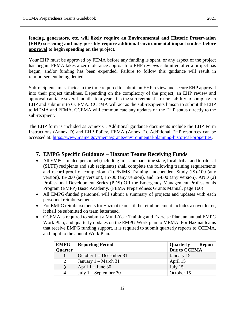**fencing, generators, etc. will likely require an Environmental and Historic Preservation (EHP) screening and may possibly require additional environmental impact studies before approval to begin spending on the project.**

Your EHP must be approved by FEMA before any funding is spent, or any aspect of the project has begun. FEMA takes a zero tolerance approach to EHP reviews submitted after a project has begun, and/or funding has been expended. Failure to follow this guidance will result in reimbursement being denied.

Sub-recipients must factor in the time required to submit an EHP review and secure EHP approval into their project timelines. Depending on the complexity of the project, an EHP review and approval can take several months to a year. It is the sub recipient's responsibility to complete an EHP and submit it to CCEMA. CCEMA will act as the sub-recipients liaison to submit the EHP to MEMA and FEMA. CCEMA will communicate any updates on the EHP status directly to the sub-recipient.

The EHP form is included as Annex C. Additional guidance documents include the EHP Form Instructions (Annex D) and EHP Policy, FEMA (Annex E). Additional EHP resources can be accessed at: [https://www.maine.gov/mema/grants/environmental-planning-historical-properties.](https://www.maine.gov/mema/grants/environmental-planning-historical-properties)

# <span id="page-11-0"></span>**7. EMPG Specific Guidance – Hazmat Teams Receiving Funds**

- All EMPG-funded personnel (including full- and part-time state, local, tribal and territorial (SLTT) recipients and sub recipients) shall complete the following training requirements and record proof of completion: (1) \*NIMS Training, Independent Study (IS)-100 (any version), IS-200 (any version), IS700 (any version), and IS-800 (any version), AND (2) Professional Development Series (PDS) OR the Emergency Management Professionals Program (EMPP) Basic Academy. (FEMA Preparedness Grants Manual, page 160)
- All EMPG-funded personnel will submit a summary of projects and updates with each personnel reimbursement.
- For EMPG reimbursements for Hazmat teams: if the reimbursement includes a cover letter, it shall be submitted on team letterhead.
- CCEMA is required to submit a Multi-Year Training and Exercise Plan, an annual EMPG Work Plan, and quarterly updates on the EMPG Work plan to MEMA. For Hazmat teams that receive EMPG funding support, it is required to submit quarterly reports to CCEMA, and input to the annual Work Plan.

| <b>EMPG</b>      | <b>Reporting Period</b> | Report<br><b>Quarterly</b> |
|------------------|-------------------------|----------------------------|
| Quarter          |                         | Due to CCEMA               |
|                  | October 1 – December 31 | January 15                 |
| $\mathbf{2}$     | January $1 - March 31$  | April 15                   |
| 3                | April $1 -$ June 30     | July 15                    |
| $\boldsymbol{4}$ | July $1 -$ September 30 | October 15                 |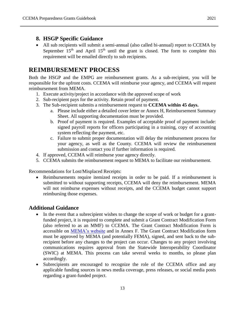# <span id="page-12-0"></span>**8. HSGP Specific Guidance**

• All sub recipients will submit a semi-annual (also called bi-annual) report to CCEMA by September  $15<sup>th</sup>$  and April  $15<sup>th</sup>$  until the grant is closed. The form to complete this requirement will be emailed directly to sub recipients.

# <span id="page-12-1"></span>**REIMBURSEMENT PROCESS**

Both the HSGP and the EMPG are reimbursement grants. As a sub-recipient, you will be responsible for the upfront costs. CCEMA will reimburse your agency, and CCEMA will request reimbursement from MEMA.

- 1. Execute activity/project in accordance with the approved scope of work
- 2. Sub-recipient pays for the activity. Retain proof of payment.
- 3. The Sub-recipient submits a reimbursement request to **CCEMA within 45 days.**
	- a. Please include either a detailed cover letter or Annex H, Reimbursement Summary Sheet. All supporting documentation must be provided.
	- b. Proof of payment is required. Examples of acceptable proof of payment include: signed payroll reports for officers participating in a training, copy of accounting system reflecting the payment, etc.
	- c. Failure to submit proper documentation will delay the reimbursement process for your agency, as well as the County. CCEMA will review the reimbursement submission and contact you if further information is required.
- 4. If approved, CCEMA will reimburse your agency directly.
- 5. CCEMA submits the reimbursement request to MEMA to facilitate our reimbursement.

Recommendations for Lost/Misplaced Receipts:

 Reimbursements require itemized receipts in order to be paid. If a reimbursement is submitted to without supporting receipts, CCEMA will deny the reimbursement. MEMA will not reimburse expenses without receipts, and the CCEMA budget cannot support reimbursing those expenses.

# <span id="page-12-2"></span>**Additional Guidance**

- In the event that a subrecipient wishes to change the scope of work or budget for a grantfunded project, it is required to complete and submit a Grant Contract Modification Form (also referred to as an MMF) to CCEMA. The Grant Contract Modification Form is accessible on [MEMA's website](https://www.maine.gov/mema/grants/homeland-security-grant-program) and in Annex F. The Grant Contract Modification form must be approved by MEMA (and potentially FEMA), signed, and sent back to the subrecipient before any changes to the project can occur. Changes to any project involving communications requires approval from the Statewide Interoperability Coordinator (SWIC) at MEMA. This process can take several weeks to months, so please plan accordingly.
- Subrecipients are encouraged to recognize the role of the CCEMA office and any applicable funding sources in news media coverage, press releases, or social media posts regarding a grant-funded project.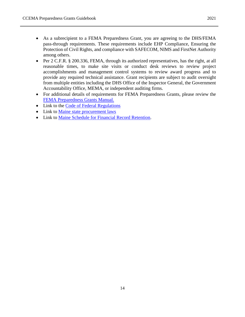- As a subrecipient to a FEMA Preparedness Grant, you are agreeing to the DHS/FEMA pass-through requirements. These requirements include EHP Compliance, Ensuring the Protection of Civil Rights, and compliance with SAFECOM, NIMS and FirstNet Authority among others.
- Per 2 C.F.R. § 200.336, FEMA, through its authorized representatives, has the right, at all reasonable times, to make site visits or conduct desk reviews to review project accomplishments and management control systems to review award progress and to provide any required technical assistance. Grant recipients are subject to audit oversight from multiple entities including the DHS Office of the Inspector General, the Government Accountability Office, MEMA, or independent auditing firms.
- For additional details of requirements for FEMA Preparedness Grants, please review the [FEMA Preparedness Grants Manual.](https://www.fema.gov/sites/default/files/documents/FEMA_2021-Preparedness-Grants-Manual_02-19-2021.pdf)
- Link to the [Code of Federal Regulations](https://www.ecfr.gov/cgi-bin/text-idx?SID=fcb3a83aa6a8fb59b29875b9c73c718d&mc=true&tpl=/ecfrbrowse/Title02/2cfr200_main_02.tpl)
- Link to [Maine state procurement laws](http://www.mainelegislature.org/legis/statutes/5/title5ch155sec0.html)
- Link to [Maine Schedule for Financial Record Retention.](https://www.maine.gov/sos/arc/records/local/localschedules.html)